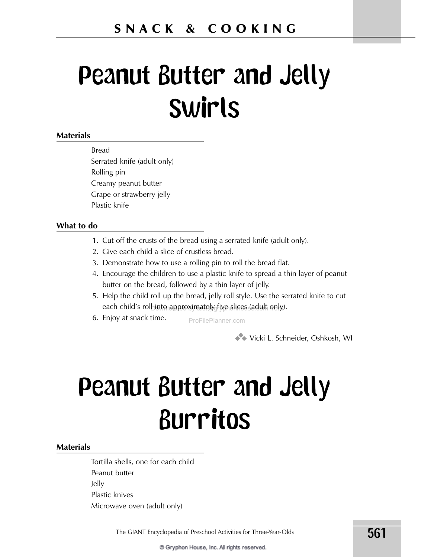# **Peanut Butter and Jelly Swirls**

### **Materials**

**Bread** Serrated knife (adult only) Rolling pin Creamy peanut butter Grape or strawberry jelly Plastic knife

#### What to do

- 1. Cut off the crusts of the bread using a serrated knife (adult only).
- 2. Give each child a slice of crustless bread.
- 3. Demonstrate how to use a rolling pin to roll the bread flat.
- 4. Encourage the children to use a plastic knife to spread a thin layer of peanut butter on the bread, followed by a thin layer of jelly.
- 5. Help the child roll up the bread, jelly roll style. Use the serrated knife to cut each child's rolbinto approximately five slices (adult only).
- 6. Enjoy at snack time.

ProFilePlanner.com

Vicki L. Schneider, Oshkosh, WI

# **Peanut Butter and Jelly Burritos**

#### **Materials**

Tortilla shells, one for each child Peanut butter Jelly Plastic knives Microwave oven (adult only)